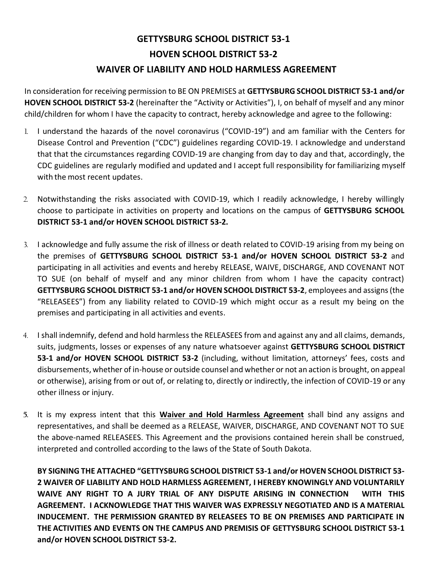## **GETTYSBURG SCHOOL DISTRICT 53-1 HOVEN SCHOOL DISTRICT 53-2 WAIVER OF LIABILITY AND HOLD HARMLESS AGREEMENT**

In consideration for receiving permission to BE ON PREMISES at **GETTYSBURG SCHOOL DISTRICT 53-1 and/or HOVEN SCHOOL DISTRICT 53-2** (hereinafter the "Activity or Activities"), I, on behalf of myself and any minor child/children for whom I have the capacity to contract, hereby acknowledge and agree to the following:

- 1. I understand the hazards of the novel coronavirus ("COVID-19") and am familiar with the Centers for Disease Control and Prevention ("CDC") guidelines regarding COVID-19. I acknowledge and understand that that the circumstances regarding COVID-19 are changing from day to day and that, accordingly, the CDC guidelines are regularly modified and updated and I accept full responsibility for familiarizing myself with the most recent updates.
- 2. Notwithstanding the risks associated with COVID-19, which I readily acknowledge, I hereby willingly choose to participate in activities on property and locations on the campus of **GETTYSBURG SCHOOL DISTRICT 53-1 and/or HOVEN SCHOOL DISTRICT 53-2.**
- 3. I acknowledge and fully assume the risk of illness or death related to COVID-19 arising from my being on the premises of **GETTYSBURG SCHOOL DISTRICT 53-1 and/or HOVEN SCHOOL DISTRICT 53-2** and participating in all activities and events and hereby RELEASE, WAIVE, DISCHARGE, AND COVENANT NOT TO SUE (on behalf of myself and any minor children from whom I have the capacity contract) **GETTYSBURG SCHOOL DISTRICT 53-1 and/or HOVEN SCHOOL DISTRICT 53-2**, employees and assigns (the "RELEASEES") from any liability related to COVID-19 which might occur as a result my being on the premises and participating in all activities and events.
- 4. I shall indemnify, defend and hold harmless the RELEASEES from and against any and all claims, demands, suits, judgments, losses or expenses of any nature whatsoever against **GETTYSBURG SCHOOL DISTRICT 53-1 and/or HOVEN SCHOOL DISTRICT 53-2** (including, without limitation, attorneys' fees, costs and disbursements, whether of in-house or outside counsel and whether or not an action is brought, on appeal or otherwise), arising from or out of, or relating to, directly or indirectly, the infection of COVID-19 or any other illness or injury.
- **5.** It is my express intent that this **Waiver and Hold Harmless Agreement** shall bind any assigns and representatives, and shall be deemed as a RELEASE, WAIVER, DISCHARGE, AND COVENANT NOT TO SUE the above-named RELEASEES. This Agreement and the provisions contained herein shall be construed, interpreted and controlled according to the laws of the State of South Dakota.

**BY SIGNING THE ATTACHED "GETTYSBURG SCHOOL DISTRICT 53-1 and/or HOVEN SCHOOL DISTRICT 53- 2 WAIVER OF LIABILITY AND HOLD HARMLESS AGREEMENT, I HEREBY KNOWINGLY AND VOLUNTARILY WAIVE ANY RIGHT TO A JURY TRIAL OF ANY DISPUTE ARISING IN CONNECTION WITH THIS AGREEMENT. I ACKNOWLEDGE THAT THIS WAIVER WAS EXPRESSLY NEGOTIATED AND IS A MATERIAL INDUCEMENT. THE PERMISSION GRANTED BY RELEASEES TO BE ON PREMISES AND PARTICIPATE IN THE ACTIVITIES AND EVENTS ON THE CAMPUS AND PREMISIS OF GETTYSBURG SCHOOL DISTRICT 53-1 and/or HOVEN SCHOOL DISTRICT 53-2.**